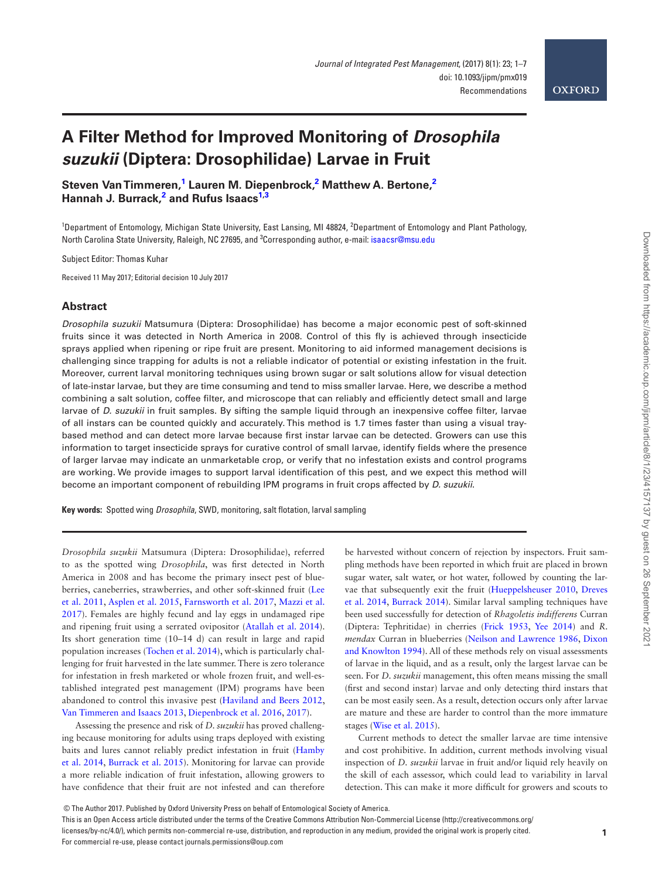# **OXFORD**

# **A Filter Method for Improved Monitoring of** *Drosophila suzukii* **(Diptera: Drosophilidae) Larvae in Fruit**

**Steven Van Timmeren, [1](#page-0-0) Lauren M. Diepenbrock, [2](#page-0-1) Matthew A. Bertone, [2](#page-0-1) Hannah J. Burrack, [2](#page-0-1) and Rufus Isaacs[1,](#page-0-0)[3](#page-0-2)**

<span id="page-0-2"></span><span id="page-0-1"></span><span id="page-0-0"></span><sup>1</sup>Department of Entomology, Michigan State University, East Lansing, MI 48824, <sup>2</sup>Department of Entomology and Plant Pathology, North Carolina State University, Raleigh, NC 27695, and <sup>3</sup>Corresponding author, e-mail: [isaacsr@msu.edu](mailto:isaacsr@msu.edu?subject=)

Subject Editor: Thomas Kuhar

Received 11 May 2017; Editorial decision 10 July 2017

#### **Abstract**

*Drosophila suzukii* Matsumura (Diptera: Drosophilidae) has become a major economic pest of soft-skinned fruits since it was detected in North America in 2008. Control of this fly is achieved through insecticide sprays applied when ripening or ripe fruit are present. Monitoring to aid informed management decisions is challenging since trapping for adults is not a reliable indicator of potential or existing infestation in the fruit. Moreover, current larval monitoring techniques using brown sugar or salt solutions allow for visual detection of late-instar larvae, but they are time consuming and tend to miss smaller larvae. Here, we describe a method combining a salt solution, coffee filter, and microscope that can reliably and efficiently detect small and large larvae of *D. suzukii* in fruit samples. By sifting the sample liquid through an inexpensive coffee filter, larvae of all instars can be counted quickly and accurately. This method is 1.7 times faster than using a visual traybased method and can detect more larvae because first instar larvae can be detected. Growers can use this information to target insecticide sprays for curative control of small larvae, identify fields where the presence of larger larvae may indicate an unmarketable crop, or verify that no infestation exists and control programs are working. We provide images to support larval identification of this pest, and we expect this method will become an important component of rebuilding IPM programs in fruit crops affected by *D. suzukii*.

**Key words:** Spotted wing *Drosophila*, SWD, monitoring, salt flotation, larval sampling

*Drosophila suzukii* Matsumura (Diptera: Drosophilidae), referred to as the spotted wing *Drosophila*, was first detected in North America in 2008 and has become the primary insect pest of blueberries, caneberries, strawberries, and other soft-skinned fruit [\(Lee](#page-6-0) [et al. 2011](#page-6-0), [Asplen et al. 2015,](#page-6-1) [Farnsworth et al. 2017,](#page-6-2) [Mazzi et al.](#page-6-3) [2017\)](#page-6-3). Females are highly fecund and lay eggs in undamaged ripe and ripening fruit using a serrated ovipositor ([Atallah et al. 2014](#page-6-4)). Its short generation time (10–14 d) can result in large and rapid population increases [\(Tochen et al. 2014](#page-6-5)), which is particularly challenging for fruit harvested in the late summer. There is zero tolerance for infestation in fresh marketed or whole frozen fruit, and well-established integrated pest management (IPM) programs have been abandoned to control this invasive pest [\(Haviland and Beers 2012](#page-6-6), [Van Timmeren and Isaacs 2013,](#page-6-7) [Diepenbrock et al. 2016,](#page-6-8) [2017\)](#page-6-9).

Assessing the presence and risk of *D. suzukii* has proved challenging because monitoring for adults using traps deployed with existing baits and lures cannot reliably predict infestation in fruit [\(Hamby](#page-6-10) [et al. 2014](#page-6-10), [Burrack et al. 2015](#page-6-11)). Monitoring for larvae can provide a more reliable indication of fruit infestation, allowing growers to have confidence that their fruit are not infested and can therefore

be harvested without concern of rejection by inspectors. Fruit sampling methods have been reported in which fruit are placed in brown sugar water, salt water, or hot water, followed by counting the larvae that subsequently exit the fruit [\(Hueppelsheuser 2010](#page-6-12), [Dreves](#page-6-13) [et al. 2014](#page-6-13), [Burrack 2014\)](#page-6-14). Similar larval sampling techniques have been used successfully for detection of *Rhagoletis indifferens* Curran (Diptera: Tephritidae) in cherries [\(Frick 1953](#page-6-15), [Yee 2014\)](#page-6-16) and *R. mendax* Curran in blueberries ([Neilson and Lawrence 1986,](#page-6-17) [Dixon](#page-6-18) [and Knowlton 1994\)](#page-6-18). All of these methods rely on visual assessments of larvae in the liquid, and as a result, only the largest larvae can be seen. For *D. suzukii* management, this often means missing the small (first and second instar) larvae and only detecting third instars that can be most easily seen. As a result, detection occurs only after larvae are mature and these are harder to control than the more immature stages [\(Wise et al. 2015\)](#page-6-19).

Current methods to detect the smaller larvae are time intensive and cost prohibitive. In addition, current methods involving visual inspection of *D. suzukii* larvae in fruit and/or liquid rely heavily on the skill of each assessor, which could lead to variability in larval detection. This can make it more difficult for growers and scouts to

This is an Open Access article distributed under the terms of the Creative Commons Attribution Non-Commercial License (http://creativecommons.org/ licenses/by-nc/4.0/), which permits non-commercial re-use, distribution, and reproduction in any medium, provided the original work is properly cited. For commercial re-use, please contact journals.permissions@oup.com

 <sup>©</sup> The Author 2017. Published by Oxford University Press on behalf of Entomological Society of America.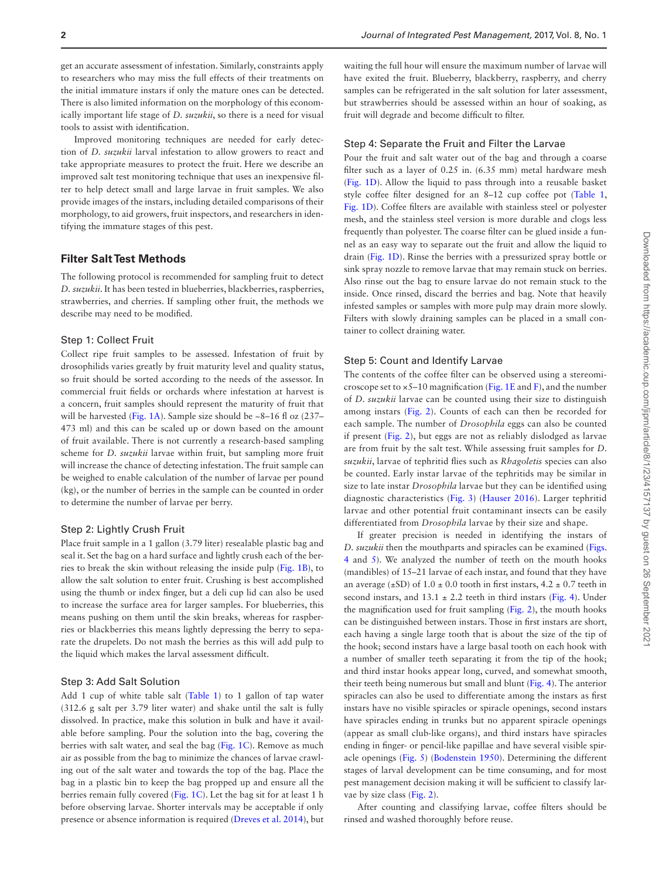get an accurate assessment of infestation. Similarly, constraints apply to researchers who may miss the full effects of their treatments on the initial immature instars if only the mature ones can be detected. There is also limited information on the morphology of this economically important life stage of *D. suzukii*, so there is a need for visual tools to assist with identification.

Improved monitoring techniques are needed for early detection of *D. suzukii* larval infestation to allow growers to react and take appropriate measures to protect the fruit. Here we describe an improved salt test monitoring technique that uses an inexpensive filter to help detect small and large larvae in fruit samples. We also provide images of the instars, including detailed comparisons of their morphology, to aid growers, fruit inspectors, and researchers in identifying the immature stages of this pest.

# **Filter Salt Test Methods**

The following protocol is recommended for sampling fruit to detect *D. suzukii*. It has been tested in blueberries, blackberries, raspberries, strawberries, and cherries. If sampling other fruit, the methods we describe may need to be modified.

#### Step 1: Collect Fruit

Collect ripe fruit samples to be assessed. Infestation of fruit by drosophilids varies greatly by fruit maturity level and quality status, so fruit should be sorted according to the needs of the assessor. In commercial fruit fields or orchards where infestation at harvest is a concern, fruit samples should represent the maturity of fruit that will be harvested [\(Fig. 1A\)](#page-2-0). Sample size should be ~8-16 fl oz (237– 473 ml) and this can be scaled up or down based on the amount of fruit available. There is not currently a research-based sampling scheme for *D. suzukii* larvae within fruit, but sampling more fruit will increase the chance of detecting infestation. The fruit sample can be weighed to enable calculation of the number of larvae per pound (kg), or the number of berries in the sample can be counted in order to determine the number of larvae per berry.

#### Step 2: Lightly Crush Fruit

Place fruit sample in a 1 gallon (3.79 liter) resealable plastic bag and seal it. Set the bag on a hard surface and lightly crush each of the berries to break the skin without releasing the inside pulp [\(Fig. 1B\)](#page-2-0), to allow the salt solution to enter fruit. Crushing is best accomplished using the thumb or index finger, but a deli cup lid can also be used to increase the surface area for larger samples. For blueberries, this means pushing on them until the skin breaks, whereas for raspberries or blackberries this means lightly depressing the berry to separate the drupelets. Do not mash the berries as this will add pulp to the liquid which makes the larval assessment difficult.

#### Step 3: Add Salt Solution

Add 1 cup of white table salt ([Table 1](#page-2-1)) to 1 gallon of tap water (312.6 g salt per 3.79 liter water) and shake until the salt is fully dissolved. In practice, make this solution in bulk and have it available before sampling. Pour the solution into the bag, covering the berries with salt water, and seal the bag ([Fig. 1C](#page-2-0)). Remove as much air as possible from the bag to minimize the chances of larvae crawling out of the salt water and towards the top of the bag. Place the bag in a plastic bin to keep the bag propped up and ensure all the berries remain fully covered ([Fig. 1C](#page-2-0)). Let the bag sit for at least 1 h before observing larvae. Shorter intervals may be acceptable if only presence or absence information is required [\(Dreves et al. 2014\)](#page-6-13), but waiting the full hour will ensure the maximum number of larvae will have exited the fruit. Blueberry, blackberry, raspberry, and cherry samples can be refrigerated in the salt solution for later assessment, but strawberries should be assessed within an hour of soaking, as fruit will degrade and become difficult to filter.

#### Step 4: Separate the Fruit and Filter the Larvae

Pour the fruit and salt water out of the bag and through a coarse filter such as a layer of 0.25 in. (6.35 mm) metal hardware mesh ([Fig. 1D\)](#page-2-0). Allow the liquid to pass through into a reusable basket style coffee filter designed for an 8–12 cup coffee pot ([Table 1](#page-2-1), [Fig. 1D](#page-2-0)). Coffee filters are available with stainless steel or polyester mesh, and the stainless steel version is more durable and clogs less frequently than polyester. The coarse filter can be glued inside a funnel as an easy way to separate out the fruit and allow the liquid to drain ([Fig. 1D\)](#page-2-0). Rinse the berries with a pressurized spray bottle or sink spray nozzle to remove larvae that may remain stuck on berries. Also rinse out the bag to ensure larvae do not remain stuck to the inside. Once rinsed, discard the berries and bag. Note that heavily infested samples or samples with more pulp may drain more slowly. Filters with slowly draining samples can be placed in a small container to collect draining water.

#### Step 5: Count and Identify Larvae

The contents of the coffee filter can be observed using a stereomicroscope set to  $\times$ 5–10 magnification ([Fig. 1E](#page-2-0) and [F\)](#page-2-0), and the number of *D. suzukii* larvae can be counted using their size to distinguish among instars ([Fig. 2](#page-3-0)). Counts of each can then be recorded for each sample. The number of *Drosophila* eggs can also be counted if present ([Fig. 2](#page-3-0)), but eggs are not as reliably dislodged as larvae are from fruit by the salt test. While assessing fruit samples for *D. suzukii*, larvae of tephritid flies such as *Rhagoletis* species can also be counted. Early instar larvae of the tephritids may be similar in size to late instar *Drosophila* larvae but they can be identified using diagnostic characteristics ([Fig. 3](#page-3-1)) ([Hauser 2016](#page-6-20)). Larger tephritid larvae and other potential fruit contaminant insects can be easily differentiated from *Drosophila* larvae by their size and shape.

If greater precision is needed in identifying the instars of *D. suzukii* then the mouthparts and spiracles can be examined [\(Figs.](#page-3-2) [4](#page-3-2) and [5](#page-4-0)). We analyzed the number of teeth on the mouth hooks (mandibles) of 15–21 larvae of each instar, and found that they have an average ( $\pm$ SD) of 1.0  $\pm$  0.0 tooth in first instars, 4.2  $\pm$  0.7 teeth in second instars, and  $13.1 \pm 2.2$  teeth in third instars [\(Fig. 4\)](#page-3-2). Under the magnification used for fruit sampling ([Fig. 2\)](#page-3-0), the mouth hooks can be distinguished between instars. Those in first instars are short, each having a single large tooth that is about the size of the tip of the hook; second instars have a large basal tooth on each hook with a number of smaller teeth separating it from the tip of the hook; and third instar hooks appear long, curved, and somewhat smooth, their teeth being numerous but small and blunt ([Fig. 4\)](#page-3-2). The anterior spiracles can also be used to differentiate among the instars as first instars have no visible spiracles or spiracle openings, second instars have spiracles ending in trunks but no apparent spiracle openings (appear as small club-like organs), and third instars have spiracles ending in finger- or pencil-like papillae and have several visible spiracle openings [\(Fig. 5](#page-4-0)) [\(Bodenstein 1950](#page-6-21)). Determining the different stages of larval development can be time consuming, and for most pest management decision making it will be sufficient to classify larvae by size class [\(Fig. 2\)](#page-3-0).

After counting and classifying larvae, coffee filters should be rinsed and washed thoroughly before reuse.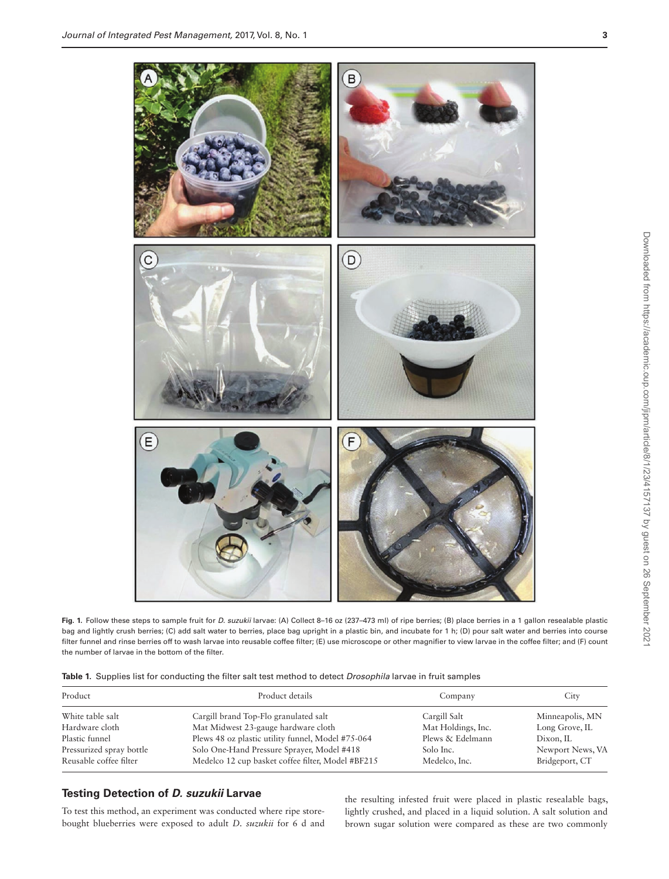

<span id="page-2-0"></span>**Fig. 1.** Follow these steps to sample fruit for *D. suzukii* larvae: (A) Collect 8–16 oz (237–473 ml) of ripe berries; (B) place berries in a 1 gallon resealable plastic bag and lightly crush berries; (C) add salt water to berries, place bag upright in a plastic bin, and incubate for 1 h; (D) pour salt water and berries into course filter funnel and rinse berries off to wash larvae into reusable coffee filter; (E) use microscope or other magnifier to view larvae in the coffee filter; and (F) count the number of larvae in the bottom of the filter.

<span id="page-2-1"></span>

|  |  |  |  |  |  |  |  | Table 1. Supplies list for conducting the filter salt test method to detect <i>Drosophila</i> larvae in fruit samples |  |  |  |
|--|--|--|--|--|--|--|--|-----------------------------------------------------------------------------------------------------------------------|--|--|--|
|--|--|--|--|--|--|--|--|-----------------------------------------------------------------------------------------------------------------------|--|--|--|

| Product                                            | Product details                                                                                 | Company                    | City                               |
|----------------------------------------------------|-------------------------------------------------------------------------------------------------|----------------------------|------------------------------------|
| White table salt                                   | Cargill brand Top-Flo granulated salt                                                           | Cargill Salt               | Minneapolis, MN                    |
| Hardware cloth                                     | Mat Midwest 23-gauge hardware cloth                                                             | Mat Holdings, Inc.         | Long Grove, IL                     |
| Plastic funnel                                     | Plews 48 oz plastic utility funnel, Model #75-064                                               | Plews & Edelmann           | Dixon, IL                          |
| Pressurized spray bottle<br>Reusable coffee filter | Solo One-Hand Pressure Sprayer, Model #418<br>Medelco 12 cup basket coffee filter, Model #BF215 | Solo Inc.<br>Medelco, Inc. | Newport News, VA<br>Bridgeport, CT |

# **Testing Detection of** *D. suzukii* **Larvae**

To test this method, an experiment was conducted where ripe storebought blueberries were exposed to adult *D. suzukii* for 6 d and the resulting infested fruit were placed in plastic resealable bags, lightly crushed, and placed in a liquid solution. A salt solution and brown sugar solution were compared as these are two commonly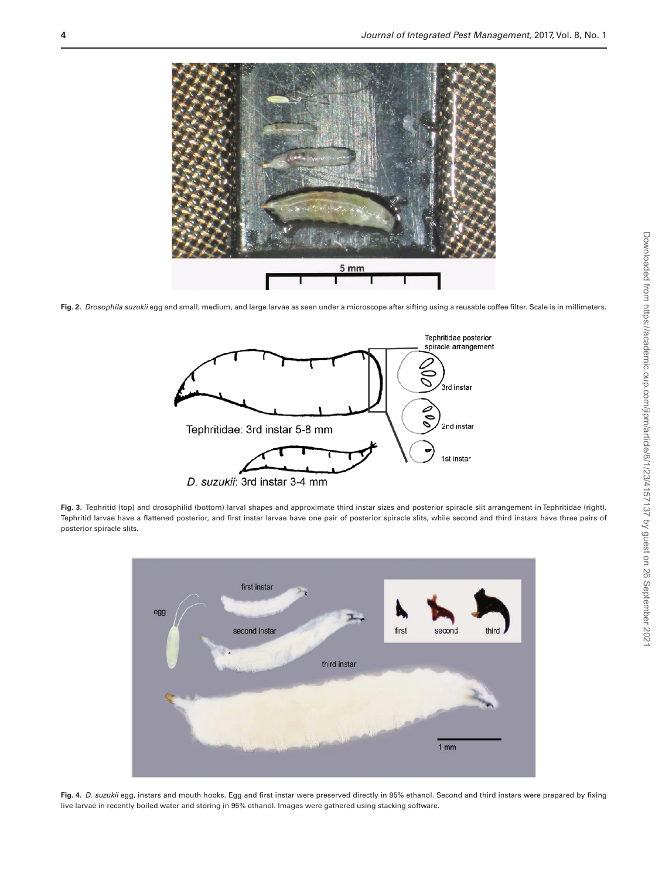

**Fig. 2.** *Drosophila suzukii* egg and small, medium, and large larvae as seen under a microscope after sifting using a reusable coffee filter. Scale is in millimeters.

<span id="page-3-0"></span>

**Fig. 3.** Tephritid (top) and drosophilid (bottom) larval shapes and approximate third instar sizes and posterior spiracle slit arrangement in Tephritidae (right). Tephritid larvae have a flattened posterior, and first instar larvae have one pair of posterior spiracle slits, while second and third instars have three pairs of posterior spiracle slits.

<span id="page-3-1"></span>

<span id="page-3-2"></span>**Fig. 4.** *D. suzukii* egg, instars and mouth hooks. Egg and first instar were preserved directly in 95% ethanol. Second and third instars were prepared by fixing live larvae in recently boiled water and storing in 95% ethanol. Images were gathered using stacking software.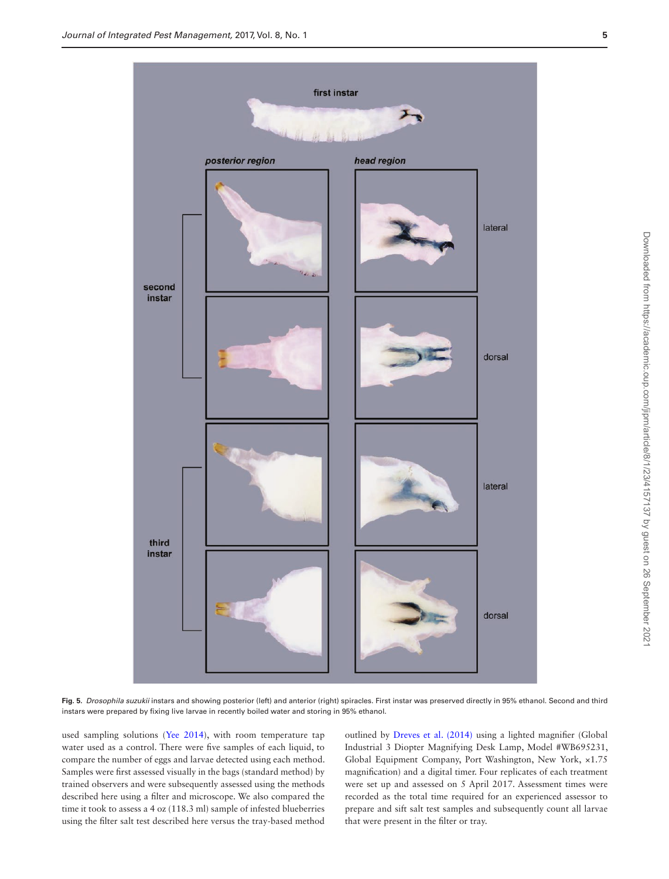

<span id="page-4-0"></span>**Fig. 5.** *Drosophila suzukii* instars and showing posterior (left) and anterior (right) spiracles. First instar was preserved directly in 95% ethanol. Second and third instars were prepared by fixing live larvae in recently boiled water and storing in 95% ethanol.

used sampling solutions ([Yee 2014](#page-6-16)), with room temperature tap water used as a control. There were five samples of each liquid, to compare the number of eggs and larvae detected using each method. Samples were first assessed visually in the bags (standard method) by trained observers and were subsequently assessed using the methods described here using a filter and microscope. We also compared the time it took to assess a 4 oz (118.3 ml) sample of infested blueberries using the filter salt test described here versus the tray-based method

outlined by [Dreves et al. \(2014\)](#page-6-13) using a lighted magnifier (Global Industrial 3 Diopter Magnifying Desk Lamp, Model #WB695231, Global Equipment Company, Port Washington, New York, ×1.75 magnification) and a digital timer. Four replicates of each treatment were set up and assessed on 5 April 2017. Assessment times were recorded as the total time required for an experienced assessor to prepare and sift salt test samples and subsequently count all larvae that were present in the filter or tray.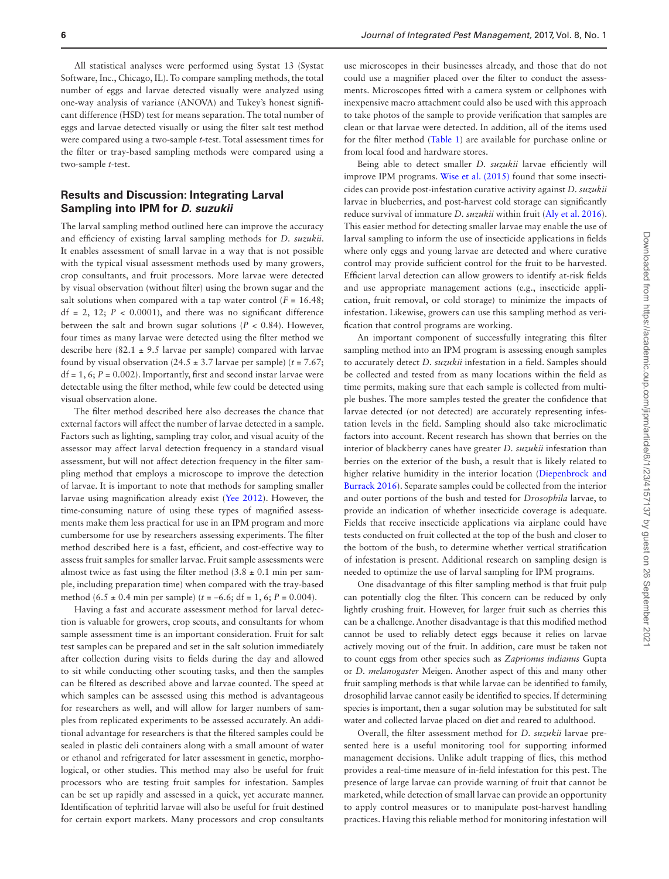All statistical analyses were performed using Systat 13 (Systat Software, Inc., Chicago, IL). To compare sampling methods, the total number of eggs and larvae detected visually were analyzed using one-way analysis of variance (ANOVA) and Tukey's honest significant difference (HSD) test for means separation. The total number of eggs and larvae detected visually or using the filter salt test method were compared using a two-sample *t*-test. Total assessment times for the filter or tray-based sampling methods were compared using a two-sample *t*-test.

## **Results and Discussion: Integrating Larval Sampling into IPM for** *D. suzukii*

The larval sampling method outlined here can improve the accuracy and efficiency of existing larval sampling methods for *D. suzukii*. It enables assessment of small larvae in a way that is not possible with the typical visual assessment methods used by many growers, crop consultants, and fruit processors. More larvae were detected by visual observation (without filter) using the brown sugar and the salt solutions when compared with a tap water control  $(F = 16.48;$  $df = 2$ , 12;  $P < 0.0001$ ), and there was no significant difference between the salt and brown sugar solutions ( $P < 0.84$ ). However, four times as many larvae were detected using the filter method we describe here (82.1  $\pm$  9.5 larvae per sample) compared with larvae found by visual observation  $(24.5 \pm 3.7)$  larvae per sample)  $(t = 7.67)$ ;  $df = 1, 6; P = 0.002$ ). Importantly, first and second instar larvae were detectable using the filter method, while few could be detected using visual observation alone.

The filter method described here also decreases the chance that external factors will affect the number of larvae detected in a sample. Factors such as lighting, sampling tray color, and visual acuity of the assessor may affect larval detection frequency in a standard visual assessment, but will not affect detection frequency in the filter sampling method that employs a microscope to improve the detection of larvae. It is important to note that methods for sampling smaller larvae using magnification already exist ([Yee 2012\)](#page-6-22). However, the time-consuming nature of using these types of magnified assessments make them less practical for use in an IPM program and more cumbersome for use by researchers assessing experiments. The filter method described here is a fast, efficient, and cost-effective way to assess fruit samples for smaller larvae. Fruit sample assessments were almost twice as fast using the filter method  $(3.8 \pm 0.1 \text{ min per sam-})$ ple, including preparation time) when compared with the tray-based method (6.5 ± 0.4 min per sample) (*t* = –6.6; df = 1, 6; *P* = 0.004).

Having a fast and accurate assessment method for larval detection is valuable for growers, crop scouts, and consultants for whom sample assessment time is an important consideration. Fruit for salt test samples can be prepared and set in the salt solution immediately after collection during visits to fields during the day and allowed to sit while conducting other scouting tasks, and then the samples can be filtered as described above and larvae counted. The speed at which samples can be assessed using this method is advantageous for researchers as well, and will allow for larger numbers of samples from replicated experiments to be assessed accurately. An additional advantage for researchers is that the filtered samples could be sealed in plastic deli containers along with a small amount of water or ethanol and refrigerated for later assessment in genetic, morphological, or other studies. This method may also be useful for fruit processors who are testing fruit samples for infestation. Samples can be set up rapidly and assessed in a quick, yet accurate manner. Identification of tephritid larvae will also be useful for fruit destined for certain export markets. Many processors and crop consultants use microscopes in their businesses already, and those that do not could use a magnifier placed over the filter to conduct the assessments. Microscopes fitted with a camera system or cellphones with inexpensive macro attachment could also be used with this approach to take photos of the sample to provide verification that samples are clean or that larvae were detected. In addition, all of the items used for the filter method [\(Table 1](#page-2-1)) are available for purchase online or from local food and hardware stores.

Being able to detect smaller *D. suzukii* larvae efficiently will improve IPM programs. [Wise et al. \(2015\)](#page-6-19) found that some insecticides can provide post-infestation curative activity against *D. suzukii* larvae in blueberries, and post-harvest cold storage can significantly reduce survival of immature *D. suzukii* within fruit ([Aly et al. 2016\)](#page-6-23). This easier method for detecting smaller larvae may enable the use of larval sampling to inform the use of insecticide applications in fields where only eggs and young larvae are detected and where curative control may provide sufficient control for the fruit to be harvested. Efficient larval detection can allow growers to identify at-risk fields and use appropriate management actions (e.g., insecticide application, fruit removal, or cold storage) to minimize the impacts of infestation. Likewise, growers can use this sampling method as verification that control programs are working.

An important component of successfully integrating this filter sampling method into an IPM program is assessing enough samples to accurately detect *D. suzukii* infestation in a field. Samples should be collected and tested from as many locations within the field as time permits, making sure that each sample is collected from multiple bushes. The more samples tested the greater the confidence that larvae detected (or not detected) are accurately representing infestation levels in the field. Sampling should also take microclimatic factors into account. Recent research has shown that berries on the interior of blackberry canes have greater *D. suzukii* infestation than berries on the exterior of the bush, a result that is likely related to higher relative humidity in the interior location ([Diepenbrock and](#page-6-8) [Burrack 2016](#page-6-8)). Separate samples could be collected from the interior and outer portions of the bush and tested for *Drosophila* larvae, to provide an indication of whether insecticide coverage is adequate. Fields that receive insecticide applications via airplane could have tests conducted on fruit collected at the top of the bush and closer to the bottom of the bush, to determine whether vertical stratification of infestation is present. Additional research on sampling design is needed to optimize the use of larval sampling for IPM programs.

One disadvantage of this filter sampling method is that fruit pulp can potentially clog the filter. This concern can be reduced by only lightly crushing fruit. However, for larger fruit such as cherries this can be a challenge. Another disadvantage is that this modified method cannot be used to reliably detect eggs because it relies on larvae actively moving out of the fruit. In addition, care must be taken not to count eggs from other species such as *Zaprionus indianus* Gupta or *D. melanogaster* Meigen. Another aspect of this and many other fruit sampling methods is that while larvae can be identified to family, drosophilid larvae cannot easily be identified to species. If determining species is important, then a sugar solution may be substituted for salt water and collected larvae placed on diet and reared to adulthood.

Overall, the filter assessment method for *D. suzukii* larvae presented here is a useful monitoring tool for supporting informed management decisions. Unlike adult trapping of flies, this method provides a real-time measure of in-field infestation for this pest. The presence of large larvae can provide warning of fruit that cannot be marketed, while detection of small larvae can provide an opportunity to apply control measures or to manipulate post-harvest handling practices. Having this reliable method for monitoring infestation will